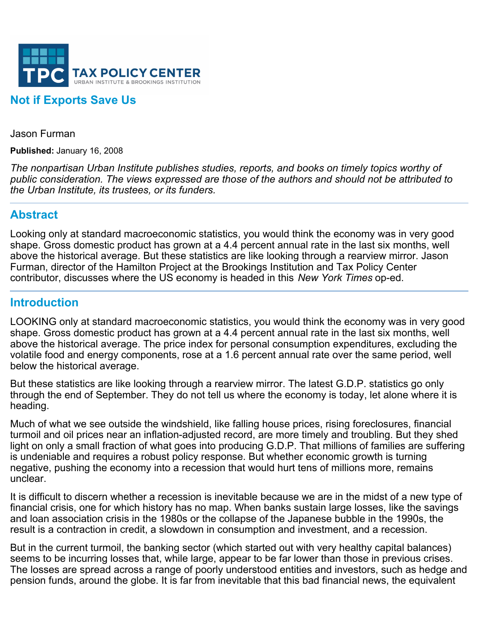

## **Not if Exports Save Us**

Jason Furman

**Published:** January 16, 2008

*The nonpartisan Urban Institute publishes studies, reports, and books on timely topics worthy of public consideration. The views expressed are those of the authors and should not be attributed to the Urban Institute, its trustees, or its funders.*

## **Abstract**

Looking only at standard macroeconomic statistics, you would think the economy was in very good shape. Gross domestic product has grown at a 4.4 percent annual rate in the last six months, well above the historical average. But these statistics are like looking through a rearview mirror. Jason Furman, director of the Hamilton Project at the Brookings Institution and Tax Policy Center contributor, discusses where the US economy is headed in this *New York Times* op-ed.

## **Introduction**

LOOKING only at standard macroeconomic statistics, you would think the economy was in very good shape. Gross domestic product has grown at a 4.4 percent annual rate in the last six months, well above the historical average. The price index for personal consumption expenditures, excluding the volatile food and energy components, rose at a 1.6 percent annual rate over the same period, well below the historical average.

But these statistics are like looking through a rearview mirror. The latest G.D.P. statistics go only through the end of September. They do not tell us where the economy is today, let alone where it is heading.

Much of what we see outside the windshield, like falling house prices, rising foreclosures, financial turmoil and oil prices near an inflation-adjusted record, are more timely and troubling. But they shed light on only a small fraction of what goes into producing G.D.P. That millions of families are suffering is undeniable and requires a robust policy response. But whether economic growth is turning negative, pushing the economy into a recession that would hurt tens of millions more, remains unclear.

It is difficult to discern whether a recession is inevitable because we are in the midst of a new type of financial crisis, one for which history has no map. When banks sustain large losses, like the savings and loan association crisis in the 1980s or the collapse of the Japanese bubble in the 1990s, the result is a contraction in credit, a slowdown in consumption and investment, and a recession.

But in the current turmoil, the banking sector (which started out with very healthy capital balances) seems to be incurring losses that, while large, appear to be far lower than those in previous crises. The losses are spread across a range of poorly understood entities and investors, such as hedge and pension funds, around the globe. It is far from inevitable that this bad financial news, the equivalent